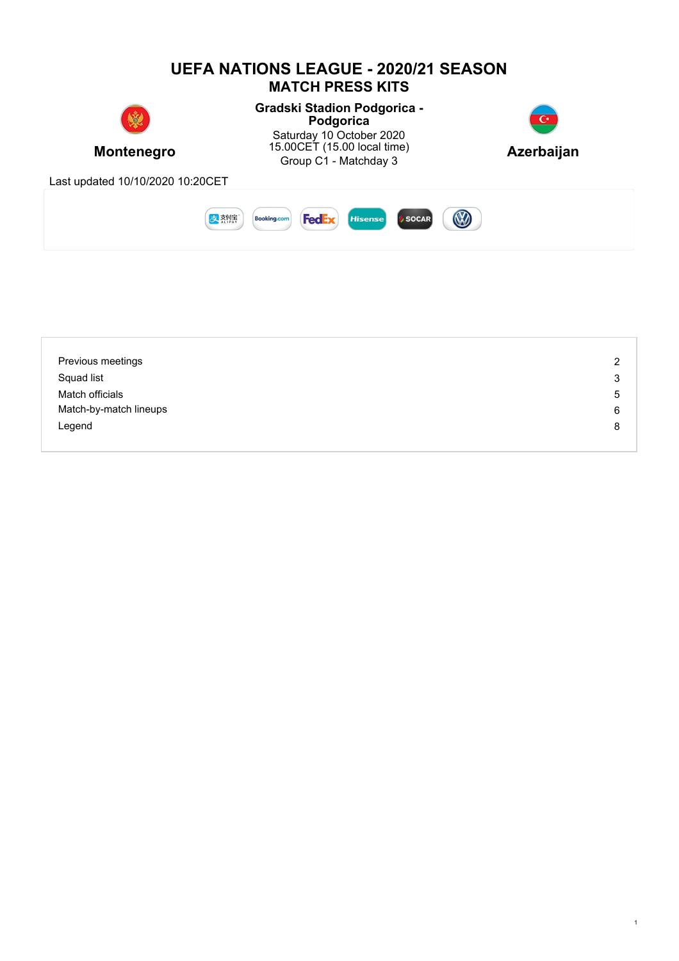

| Previous meetings      | $\overline{2}$ |
|------------------------|----------------|
| Squad list             | 3              |
| Match officials        | 5              |
| Match-by-match lineups | 6              |
| Legend                 | 8              |
|                        |                |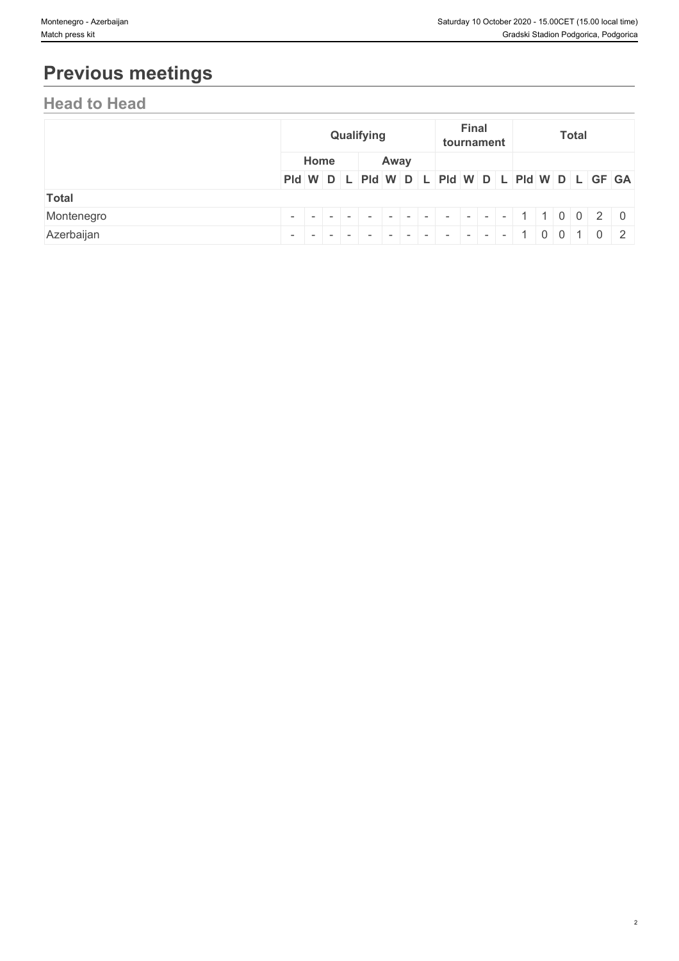# **Previous meetings**

## **Head to Head**

|              |      | Qualifying |  |      |  | <b>Final</b> | tournament |                                                                                 | <b>Total</b> |  |  |
|--------------|------|------------|--|------|--|--------------|------------|---------------------------------------------------------------------------------|--------------|--|--|
|              | Home |            |  | Away |  |              |            |                                                                                 |              |  |  |
|              |      |            |  |      |  |              |            | PId W D L PId W D L PId W D L PId W D L GF GA                                   |              |  |  |
| <b>Total</b> |      |            |  |      |  |              |            |                                                                                 |              |  |  |
| Montenegro   |      |            |  |      |  |              |            | $- - - - - - - - - - + + 1 1 0 0 2 0$                                           |              |  |  |
| Azerbaijan   |      |            |  |      |  |              |            | $- \   -   -   -   -   -   -   -   -   -   -   -   -   - 1   0   0   1   0   2$ |              |  |  |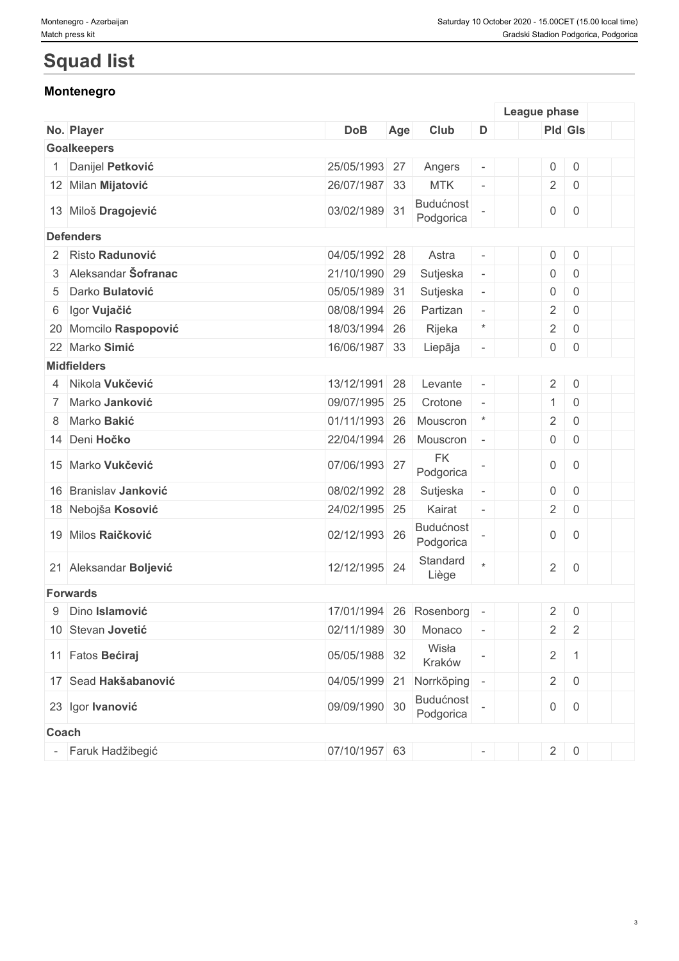# **Squad list**

### **Montenegro**

|                        |               |     |                               |                          | League phase        |                     |  |
|------------------------|---------------|-----|-------------------------------|--------------------------|---------------------|---------------------|--|
| No. Player             | <b>DoB</b>    | Age | Club                          | D                        | Pld Gls             |                     |  |
| <b>Goalkeepers</b>     |               |     |                               |                          |                     |                     |  |
| Danijel Petković       | 25/05/1993 27 |     | Angers                        | $\overline{\phantom{a}}$ | $\mathsf{O}\xspace$ | $\boldsymbol{0}$    |  |
| 12 Milan Mijatović     | 26/07/1987 33 |     | <b>MTK</b>                    | $\bar{\phantom{a}}$      | $\overline{2}$      | $\overline{0}$      |  |
| 13 Miloš Dragojević    | 03/02/1989 31 |     | Budućnost<br>Podgorica        |                          | $\overline{0}$      | $\overline{0}$      |  |
| <b>Defenders</b>       |               |     |                               |                          |                     |                     |  |
| 2 Risto Radunović      | 04/05/1992 28 |     | Astra                         | $\overline{\phantom{a}}$ | $\mathsf{O}\xspace$ | $\mathsf 0$         |  |
| 3 Aleksandar Šofranac  | 21/10/1990 29 |     | Sutjeska                      | $\overline{\phantom{a}}$ | $\mathsf{O}$        | $\mathbf 0$         |  |
| 5 Darko Bulatović      | 05/05/1989 31 |     | Sutjeska                      | $\blacksquare$           | 0                   | $\overline{0}$      |  |
| 6 Igor Vujačić         | 08/08/1994 26 |     | Partizan                      | $\sim$                   | $\overline{2}$      | $\mathsf 0$         |  |
| 20 Momcilo Raspopović  | 18/03/1994 26 |     | Rijeka                        | $\star$                  | $\sqrt{2}$          | $\overline{0}$      |  |
| 22 Marko Simić         | 16/06/1987 33 |     | Liepāja                       | $\overline{\phantom{a}}$ | $\overline{0}$      | $\boldsymbol{0}$    |  |
| <b>Midfielders</b>     |               |     |                               |                          |                     |                     |  |
| 4 Nikola Vukčević      | 13/12/1991 28 |     | Levante                       | $\overline{\phantom{a}}$ | $\overline{2}$      | $\mathsf 0$         |  |
| 7 Marko Janković       | 09/07/1995 25 |     | Crotone                       | $\equiv$                 | $\mathbf{1}$        | $\mathsf 0$         |  |
| 8 Marko Bakić          | 01/11/1993    | 26  | Mouscron                      | $\star$                  | $\overline{2}$      | $\mathsf{O}\xspace$ |  |
| 14 Deni Hočko          | 22/04/1994 26 |     | Mouscron                      | $\overline{\phantom{a}}$ | $\mathsf{O}\xspace$ | $\mathsf 0$         |  |
| 15 Marko Vukčević      | 07/06/1993 27 |     | <b>FK</b>                     |                          | $\mathsf{O}\xspace$ | $\mathbf 0$         |  |
|                        |               |     | Podgorica                     |                          |                     |                     |  |
| 16 Branislav Janković  | 08/02/1992 28 |     | Sutjeska                      | $\blacksquare$           | 0                   | $\mathsf 0$         |  |
| 18 Nebojša Kosović     | 24/02/1995 25 |     | Kairat                        | $\overline{\phantom{a}}$ | $\overline{2}$      | $\mathsf 0$         |  |
| 19 Milos Raičković     | 02/12/1993 26 |     | <b>Budućnost</b><br>Podgorica |                          | 0                   | $\mathbf 0$         |  |
| 21 Aleksandar Boljević | 12/12/1995 24 |     | Standard<br>Liège             | $\star$                  | $\overline{2}$      | $\mathsf 0$         |  |
| <b>Forwards</b>        |               |     |                               |                          |                     |                     |  |
| 9 Dino Islamović       | 17/01/1994    |     | 26 Rosenborg                  |                          | $\overline{2}$      | $\mathsf 0$         |  |
| 10 Stevan Jovetić      | 02/11/1989 30 |     | Monaco                        |                          | $\overline{2}$      | $\overline{2}$      |  |
|                        |               |     | Wisła                         |                          |                     |                     |  |
| 11 Fatos Bećiraj       | 05/05/1988 32 |     | Kraków                        |                          | $\overline{2}$      | $\mathbf{1}$        |  |
| 17 Sead Hakšabanović   | 04/05/1999 21 |     | Norrköping                    | $\overline{\phantom{a}}$ | $2 \mid 0$          |                     |  |
| 23 Igor Ivanović       | 09/09/1990 30 |     | Budućnost<br>Podgorica        |                          | $\boldsymbol{0}$    | $\overline{0}$      |  |
| Coach                  |               |     |                               |                          |                     |                     |  |
| - Faruk Hadžibegić     | 07/10/1957 63 |     |                               | $\overline{\phantom{a}}$ | $2 \mid 0$          |                     |  |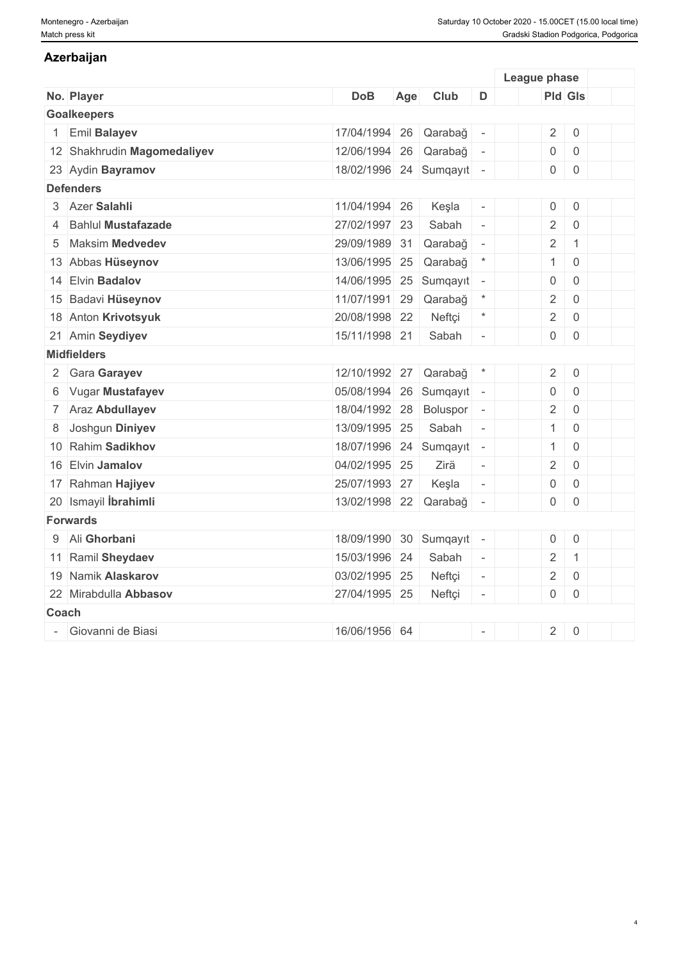### **Azerbaijan**

|       |                             |                        |     |          |                          | League phase        |                |  |
|-------|-----------------------------|------------------------|-----|----------|--------------------------|---------------------|----------------|--|
|       | No. Player                  | <b>DoB</b>             | Age | Club     | D                        | <b>Pld Gls</b>      |                |  |
|       | <b>Goalkeepers</b>          |                        |     |          |                          |                     |                |  |
|       | Emil Balayev                | 17/04/1994             | 26  | Qarabağ  |                          | $\overline{2}$      | $\,0\,$        |  |
|       | 12 Shakhrudin Magomedaliyev | 12/06/1994             | 26  | Qarabağ  | $\overline{\phantom{a}}$ | $\mathsf{O}\xspace$ | $\,0\,$        |  |
|       | 23 Aydin Bayramov           | 18/02/1996 24 Sumqayıt |     |          | $\overline{\phantom{a}}$ | $\mathsf{O}\xspace$ | $\mathbf 0$    |  |
|       | <b>Defenders</b>            |                        |     |          |                          |                     |                |  |
|       | 3 Azer Salahli              | 11/04/1994 26          |     | Keşla    | $\overline{\phantom{a}}$ | $\mathsf{O}\xspace$ | $\,0\,$        |  |
|       | <b>Bahlul Mustafazade</b>   | 27/02/1997 23          |     | Sabah    | $\omega$                 | $\overline{2}$      | $\mathbf 0$    |  |
| 5     | <b>Maksim Medvedev</b>      | 29/09/1989             | 31  | Qarabağ  | $\overline{\phantom{a}}$ | $\overline{2}$      | $\mathbf{1}$   |  |
|       | 13 Abbas Hüseynov           | 13/06/1995             | 25  | Qarabağ  | $\star$                  | $\mathbf{1}$        | $\overline{0}$ |  |
|       | 14 Elvin Badalov            | 14/06/1995 25 Sumqayıt |     |          | $\overline{\phantom{a}}$ | $\mathbf 0$         | $\mathbf 0$    |  |
|       | 15 Badavi Hüseynov          | 11/07/1991             | 29  | Qarabağ  | $\star$                  | $\overline{2}$      | $\mathbf 0$    |  |
|       | 18 Anton Krivotsyuk         | 20/08/1998 22          |     | Neftçi   | $\star$                  | $\overline{2}$      | $\mathbf 0$    |  |
|       | 21 Amin Seydiyev            | 15/11/1998 21          |     | Sabah    | $\bar{a}$                | $\mathsf{O}\xspace$ | $\mathbf 0$    |  |
|       | <b>Midfielders</b>          |                        |     |          |                          |                     |                |  |
|       | 2 Gara Garayev              | 12/10/1992             | 27  | Qarabağ  | $\star$                  | $\overline{2}$      | $\mathbf 0$    |  |
|       | 6 Vugar Mustafayev          | 05/08/1994             | 26  | Sumqayıt | $\overline{\phantom{a}}$ | $\mathbf 0$         | $\mathbf 0$    |  |
|       | 7 Araz Abdullayev           | 18/04/1992             | 28  | Boluspor | $\overline{\phantom{a}}$ | $\overline{2}$      | $\overline{0}$ |  |
| 8     | Joshgun Diniyev             | 13/09/1995             | 25  | Sabah    | $\overline{\phantom{a}}$ | $\mathbf{1}$        | $\overline{0}$ |  |
|       | 10 Rahim Sadikhov           | 18/07/1996 24 Sumqayıt |     |          | $\overline{\phantom{a}}$ | $\mathbf{1}$        | $\overline{0}$ |  |
|       | 16 Elvin Jamalov            | 04/02/1995 25          |     | Zirä     | $\overline{\phantom{a}}$ | $\overline{2}$      | $\mathbf 0$    |  |
|       | 17 Rahman Hajiyev           | 25/07/1993 27          |     | Keşla    | $\overline{\phantom{a}}$ | $\mathsf{O}\xspace$ | $\mathbf 0$    |  |
|       | 20 Ismayil İbrahimli        | 13/02/1998 22          |     | Qarabağ  |                          | $\mathbf 0$         | $\overline{0}$ |  |
|       | <b>Forwards</b>             |                        |     |          |                          |                     |                |  |
|       | 9 Ali Ghorbani              | 18/09/1990             | 30  | Sumqayıt | $\overline{\phantom{a}}$ | $\mathsf{O}\xspace$ | $\,0\,$        |  |
|       | 11 Ramil Sheydaev           | 15/03/1996 24          |     | Sabah    | $\omega$                 | $\overline{2}$      | $\mathbf{1}$   |  |
|       | 19 Namik Alaskarov          | 03/02/1995 25          |     | Neftçi   | $\overline{\phantom{a}}$ | $\overline{2}$      | $\overline{0}$ |  |
|       | 22 Mirabdulla Abbasov       | 27/04/1995 25          |     | Neftçi   | $\equiv$                 | 0                   | $\overline{0}$ |  |
| Coach |                             |                        |     |          |                          |                     |                |  |
|       | Giovanni de Biasi           | 16/06/1956 64          |     |          |                          | $\overline{2}$      | $\mathbf 0$    |  |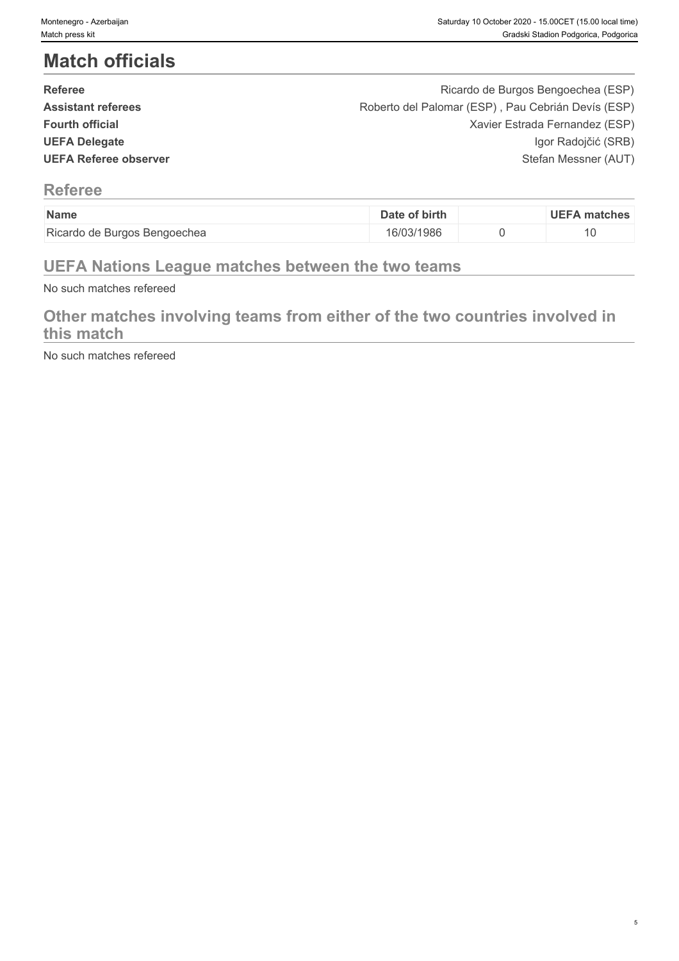# **Match officials**

| <b>Referee</b>            | Ricardo de Burgos Bengoechea (ESP)                 |  |
|---------------------------|----------------------------------------------------|--|
| <b>Assistant referees</b> | Roberto del Palomar (ESP), Pau Cebrián Devís (ESP) |  |
| <b>Fourth official</b>    | Xavier Estrada Fernandez (ESP)                     |  |
| <b>UEFA Delegate</b>      | Igor Radojčić (SRB)                                |  |
| UEFA Referee observer     | Stefan Messner (AUT)                               |  |
|                           |                                                    |  |

### **Referee**

| Name                                        | of birth<br>Dat    | <b>UEFA</b><br>matches |
|---------------------------------------------|--------------------|------------------------|
| Ricardu<br>e Burgos Bengoechea<br><b>OP</b> | '03/1986<br>16/U3/ | ιU                     |

## **UEFA Nations League matches between the two teams**

No such matches refereed

## **Other matches involving teams from either of the two countries involved in this match**

No such matches refereed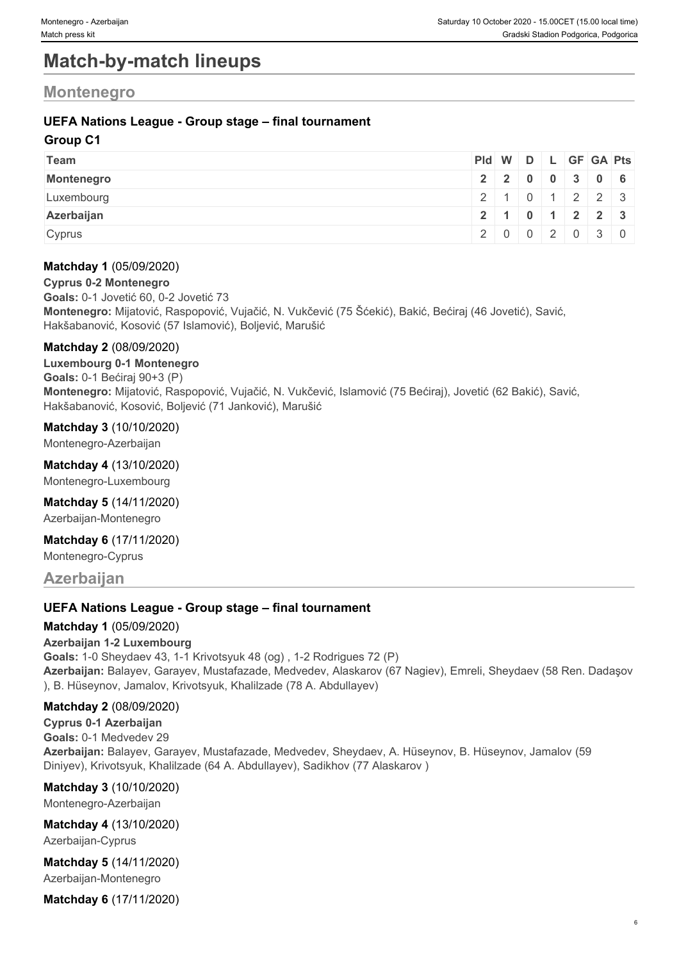## **Match-by-match lineups**

### **Montenegro**

#### **UEFA Nations League - Group stage – final tournament**

#### **Group C1**

| Team       | Pid W D L GF GA Pts |               |  |  |  |
|------------|---------------------|---------------|--|--|--|
| Montenegro |                     | 22000306      |  |  |  |
| Luxembourg |                     | $2$ 101223    |  |  |  |
| Azerbaijan |                     | 2 1 0 1 2 2 3 |  |  |  |
| Cyprus     |                     | 2002030       |  |  |  |

#### **Matchday 1** (05/09/2020)

**Cyprus 0-2 Montenegro**

**Goals:** 0-1 Jovetić 60, 0-2 Jovetić 73 **Montenegro:** Mijatović, Raspopović, Vujačić, N. Vukčević (75 Šćekić), Bakić, Bećiraj (46 Jovetić), Savić, Hakšabanović, Kosović (57 Islamović), Boljević, Marušić

#### **Matchday 2** (08/09/2020)

**Luxembourg 0-1 Montenegro Goals:** 0-1 Bećiraj 90+3 (P) **Montenegro:** Mijatović, Raspopović, Vujačić, N. Vukčević, Islamović (75 Bećiraj), Jovetić (62 Bakić), Savić, Hakšabanović, Kosović, Boljević (71 Janković), Marušić

#### **Matchday 3** (10/10/2020)

Montenegro-Azerbaijan

#### **Matchday 4** (13/10/2020)

Montenegro-Luxembourg

#### **Matchday 5** (14/11/2020)

Azerbaijan-Montenegro

#### **Matchday 6** (17/11/2020)

Montenegro-Cyprus

**Azerbaijan**

#### **UEFA Nations League - Group stage – final tournament**

#### **Matchday 1** (05/09/2020)

**Azerbaijan 1-2 Luxembourg**

**Goals:** 1-0 Sheydaev 43, 1-1 Krivotsyuk 48 (og) , 1-2 Rodrigues 72 (P) **Azerbaijan:** Balayev, Garayev, Mustafazade, Medvedev, Alaskarov (67 Nagiev), Emreli, Sheydaev (58 Ren. Dadaşov ), B. Hüseynov, Jamalov, Krivotsyuk, Khalilzade (78 А. Abdullayev)

#### **Matchday 2** (08/09/2020)

**Cyprus 0-1 Azerbaijan Goals:** 0-1 Medvedev 29 **Azerbaijan:** Balayev, Garayev, Mustafazade, Medvedev, Sheydaev, A. Hüseynov, B. Hüseynov, Jamalov (59 Diniyev), Krivotsyuk, Khalilzade (64 А. Abdullayev), Sadikhov (77 Alaskarov )

**Matchday 3** (10/10/2020) Montenegro-Azerbaijan

**Matchday 4** (13/10/2020) Azerbaijan-Cyprus

**Matchday 5** (14/11/2020) Azerbaijan-Montenegro

**Matchday 6** (17/11/2020)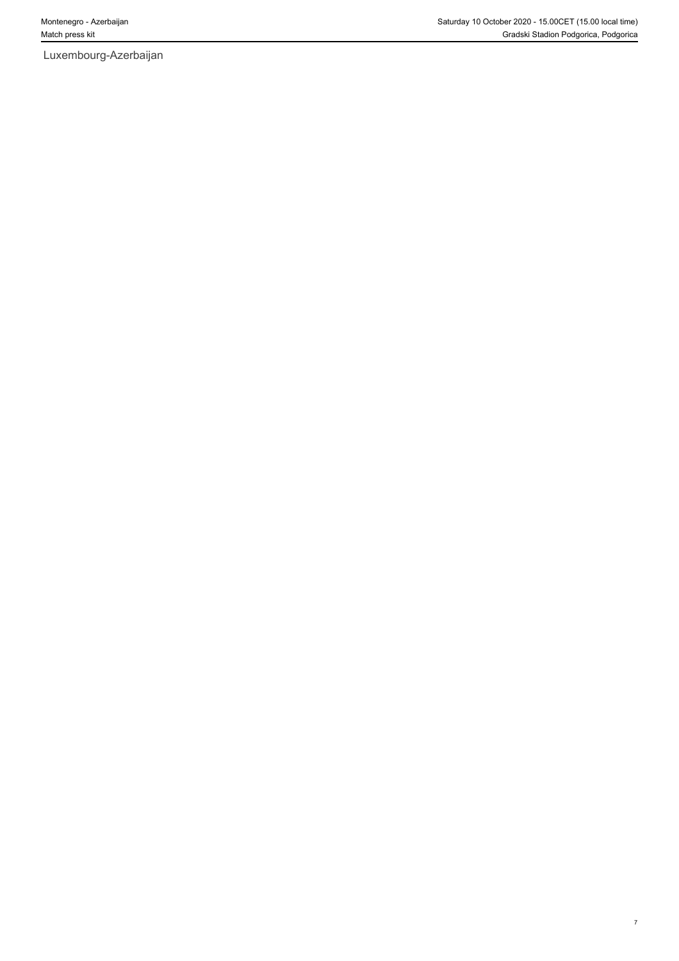Luxembourg-Azerbaijan

7